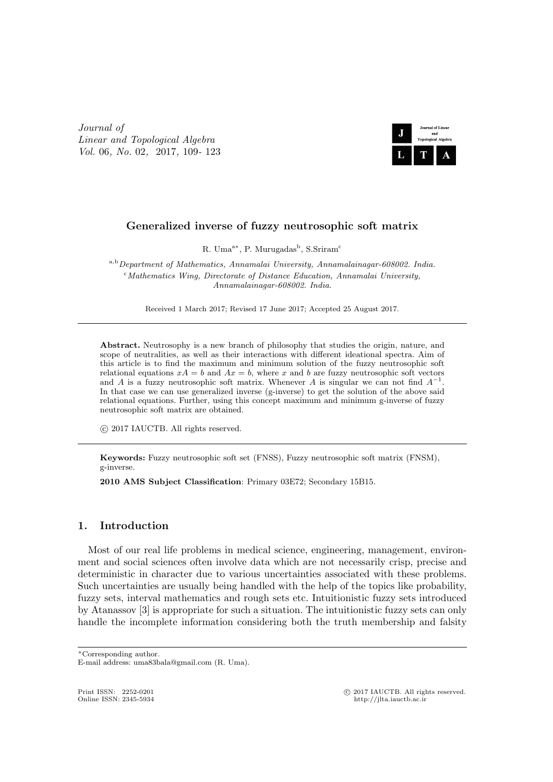*Journal of Linear and Topological Algebra Vol.* 06*, No.* 02*,* 2017*,* 109*-* 123



# **Generalized inverse of fuzzy neutrosophic soft matrix**

R. Uma<sup>a∗</sup>, P. Murugadas<sup>b</sup>, S.Sriram<sup>c</sup>

<sup>a</sup>*,*<sup>b</sup>*Department of Mathematics, Annamalai University, Annamalainagar-608002. India.* <sup>c</sup>*Mathematics Wing, Directorate of Distance Education, Annamalai University, Annamalainagar-608002. India.*

Received 1 March 2017; Revised 17 June 2017; Accepted 25 August 2017.

**Abstract.** Neutrosophy is a new branch of philosophy that studies the origin, nature, and scope of neutralities, as well as their interactions with different ideational spectra. Aim of this article is to find the maximum and minimum solution of the fuzzy neutrosophic soft relational equations  $xA = b$  and  $Ax = b$ , where x and b are fuzzy neutrosophic soft vectors and *A* is a fuzzy neutrosophic soft matrix. Whenever *A* is singular we can not find  $A^{-1}$ . In that case we can use generalized inverse (g-inverse) to get the solution of the above said relational equations. Further, using this concept maximum and minimum g-inverse of fuzzy neutrosophic soft matrix are obtained.

*⃝*c 2017 IAUCTB. All rights reserved.

**Keywords:** Fuzzy neutrosophic soft set (FNSS), Fuzzy neutrosophic soft matrix (FNSM), g-inverse.

**2010 AMS Subject Classification**: Primary 03E72; Secondary 15B15.

# **1. Introduction**

Most of our real life problems in medical science, engineering, management, environment and social sciences often involve data which are not necessarily crisp, precise and deterministic in character due to various uncertainties associated with these problems. Such uncertainties are usually being handled with the help of the topics like probability, fuzzy sets, interval mathematics and rough sets etc. Intuitionistic fuzzy sets introduced by Atanassov [3] is appropriate for such a situation. The intuitionistic fuzzy sets can only handle the incomplete information considering both the truth membership and falsity

*∗*Corresponding author.

Print ISSN: 2252-0201 <sup>⊙</sup> 2017 IAUCTB. All rights reserved.<br>
Online ISSN: 2345-5934 **but computer** that the *C* its computer of the *C* its computer of the *C* its computer of the *C* in the *C* in the *C* in the *C* in t

E-mail address: uma83bala@gmail.com (R. Uma).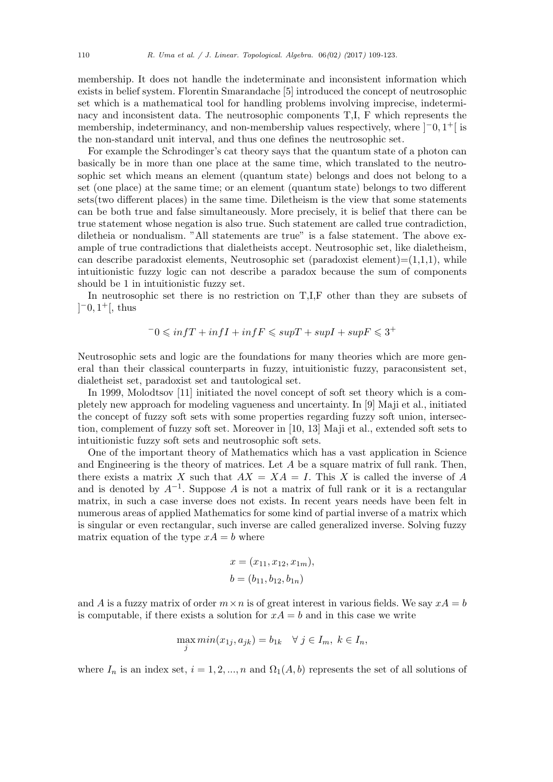membership. It does not handle the indeterminate and inconsistent information which exists in belief system. Florentin Smarandache [5] introduced the concept of neutrosophic set which is a mathematical tool for handling problems involving imprecise, indeterminacy and inconsistent data. The neutrosophic components T,I, F which represents the membership, indeterminancy, and non-membership values respectively, where ]*−*0*,* 1 <sup>+</sup>[ is the non-standard unit interval, and thus one defines the neutrosophic set.

For example the Schrodinger's cat theory says that the quantum state of a photon can basically be in more than one place at the same time, which translated to the neutrosophic set which means an element (quantum state) belongs and does not belong to a set (one place) at the same time; or an element (quantum state) belongs to two different sets(two different places) in the same time. Diletheism is the view that some statements can be both true and false simultaneously. More precisely, it is belief that there can be true statement whose negation is also true. Such statement are called true contradiction, diletheia or nondualism. "All statements are true" is a false statement. The above example of true contradictions that dialetheists accept. Neutrosophic set, like dialetheism, can describe paradoxist elements, Neutrosophic set (paradoxist element)= $(1,1,1)$ , while intuitionistic fuzzy logic can not describe a paradox because the sum of components should be 1 in intuitionistic fuzzy set.

In neutrosophic set there is no restriction on T,I,F other than they are subsets of ] *−*0*,* 1 <sup>+</sup>[, thus

$$
{}^-0\leqslant \inf T+\inf I+\inf F\leqslant \sup T+\sup I+\sup F\leqslant 3^+
$$

Neutrosophic sets and logic are the foundations for many theories which are more general than their classical counterparts in fuzzy, intuitionistic fuzzy, paraconsistent set, dialetheist set, paradoxist set and tautological set.

In 1999, Molodtsov [11] initiated the novel concept of soft set theory which is a completely new approach for modeling vagueness and uncertainty. In [9] Maji et al., initiated the concept of fuzzy soft sets with some properties regarding fuzzy soft union, intersection, complement of fuzzy soft set. Moreover in [10, 13] Maji et al., extended soft sets to intuitionistic fuzzy soft sets and neutrosophic soft sets.

One of the important theory of Mathematics which has a vast application in Science and Engineering is the theory of matrices. Let *A* be a square matrix of full rank. Then, there exists a matrix *X* such that  $AX = XA = I$ . This *X* is called the inverse of *A* and is denoted by  $A^{-1}$ . Suppose A is not a matrix of full rank or it is a rectangular matrix, in such a case inverse does not exists. In recent years needs have been felt in numerous areas of applied Mathematics for some kind of partial inverse of a matrix which is singular or even rectangular, such inverse are called generalized inverse. Solving fuzzy matrix equation of the type  $xA = b$  where

$$
x = (x_{11}, x_{12}, x_{1m}),
$$
  

$$
b = (b_{11}, b_{12}, b_{1n})
$$

and *A* is a fuzzy matrix of order  $m \times n$  is of great interest in various fields. We say  $xA = b$ is computable, if there exists a solution for  $xA = b$  and in this case we write

$$
\max_{j} \min(x_{1j}, a_{jk}) = b_{1k} \quad \forall \ j \in I_m, \ k \in I_n,
$$

where  $I_n$  is an index set,  $i = 1, 2, ..., n$  and  $\Omega_1(A, b)$  represents the set of all solutions of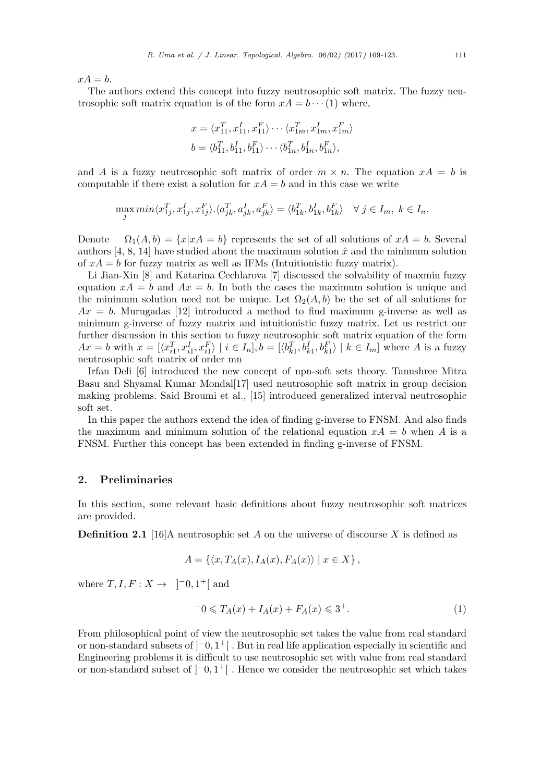$xA = b$ .

The authors extend this concept into fuzzy neutrosophic soft matrix. The fuzzy neutrosophic soft matrix equation is of the form  $xA = b \cdots (1)$  where,

$$
x = \langle x_{11}^T, x_{11}^I, x_{11}^F \rangle \cdots \langle x_{1m}^T, x_{1m}^I, x_{1m}^F \rangle
$$
  

$$
b = \langle b_{11}^T, b_{11}^I, b_{11}^F \rangle \cdots \langle b_{1n}^T, b_{1n}^I, b_{1n}^F \rangle,
$$

and *A* is a fuzzy neutrosophic soft matrix of order  $m \times n$ . The equation  $xA = b$  is computable if there exist a solution for  $xA = b$  and in this case we write

$$
\max_j \min \langle x_{1j}^T, x_{1j}^I, x_{1j}^F \rangle \cdot \langle a_{jk}^T, a_{jk}^I, a_{jk}^F \rangle = \langle b_{1k}^T, b_{1k}^I, b_{1k}^F \rangle \quad \forall \ j \in I_m, \ k \in I_n.
$$

Denote  $\Omega_1(A, b) = \{x | xA = b\}$  represents the set of all solutions of  $xA = b$ . Several authors [4, 8, 14] have studied about the maximum solution  $\hat{x}$  and the minimum solution of  $xA = b$  for fuzzy matrix as well as IFMs (Intuitionistic fuzzy matrix).

Li Jian-Xin [8] and Katarina Cechlarova [7] discussed the solvability of maxmin fuzzy equation  $xA = b$  and  $Ax = b$ . In both the cases the maximum solution is unique and the minimum solution need not be unique. Let  $\Omega_2(A, b)$  be the set of all solutions for  $Ax = b$ . Murugadas [12] introduced a method to find maximum g-inverse as well as minimum g-inverse of fuzzy matrix and intuitionistic fuzzy matrix. Let us restrict our further discussion in this section to fuzzy neutrosophic soft matrix equation of the form  $Ax = b$  with  $x = [\langle x_{i1}^T, x_{i1}^I, x_{i1}^F \rangle \mid i \in I_n], b = [\langle b_{k1}^T, b_{k1}^I, b_{k1}^F \rangle \mid k \in I_m]$  where A is a fuzzy neutrosophic soft matrix of order mn

Irfan Deli [6] introduced the new concept of npn-soft sets theory. Tanushree Mitra Basu and Shyamal Kumar Mondal[17] used neutrosophic soft matrix in group decision making problems. Said Broumi et al., [15] introduced generalized interval neutrosophic soft set.

In this paper the authors extend the idea of finding g-inverse to FNSM. And also finds the maximum and minimum solution of the relational equation  $xA = b$  when *A* is a FNSM. Further this concept has been extended in finding g-inverse of FNSM.

### **2. Preliminaries**

In this section, some relevant basic definitions about fuzzy neutrosophic soft matrices are provided.

**Definition 2.1** [16]A neutrosophic set *A* on the universe of discourse *X* is defined as

$$
A = \{ \langle x, T_A(x), I_A(x), F_A(x) \rangle \mid x \in X \},
$$

where  $T, I, F: X \rightarrow ]-0, 1^+[$  and

$$
-0 \le T_A(x) + I_A(x) + F_A(x) \le 3^+.
$$
 (1)

From philosophical point of view the neutrosophic set takes the value from real standard or non-standard subsets of ]*−*0*,* 1 <sup>+</sup>[ . But in real life application especially in scientific and Engineering problems it is difficult to use neutrosophic set with value from real standard or non-standard subset of ]*−*0*,* 1 <sup>+</sup>[ . Hence we consider the neutrosophic set which takes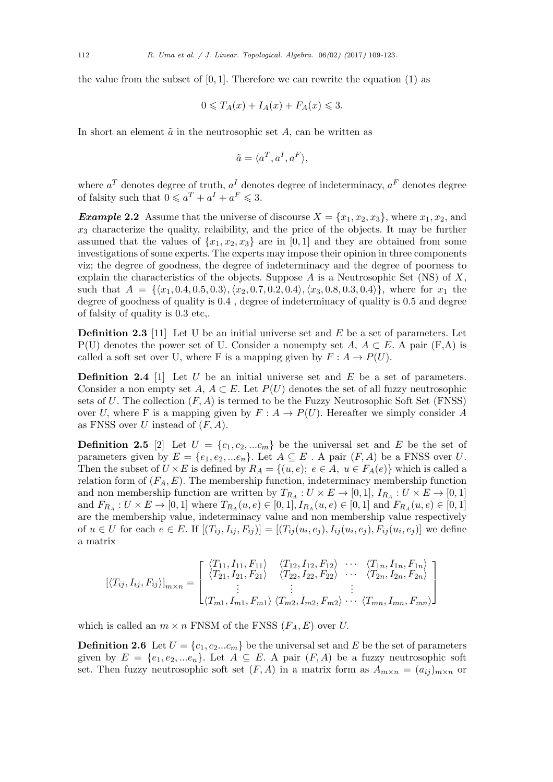the value from the subset of  $[0,1]$ . Therefore we can rewrite the equation  $(1)$  as

$$
0 \leqslant T_A(x) + I_A(x) + F_A(x) \leqslant 3.
$$

In short an element  $\tilde{a}$  in the neutrosophic set  $A$ , can be written as

$$
\tilde{a} = \langle a^T, a^I, a^F \rangle,
$$

where  $a^T$  denotes degree of truth,  $a^I$  denotes degree of indeterminacy,  $a^F$  denotes degree of falsity such that  $0 \leq a^T + a^I + a^F \leq 3$ .

*Example* 2.2 Assume that the universe of discourse  $X = \{x_1, x_2, x_3\}$ , where  $x_1, x_2$ , and  $x_3$  characterize the quality, relaibility, and the price of the objects. It may be further assumed that the values of  $\{x_1, x_2, x_3\}$  are in [0,1] and they are obtained from some investigations of some experts. The experts may impose their opinion in three components viz; the degree of goodness, the degree of indeterminacy and the degree of poorness to explain the characteristics of the objects. Suppose *A* is a Neutrosophic Set (NS) of *X*, such that  $A = \{(x_1, 0.4, 0.5, 0.3), (x_2, 0.7, 0.2, 0.4), (x_3, 0.8, 0.3, 0.4)\}\,$ , where for  $x_1$  the degree of goodness of quality is 0.4 , degree of indeterminacy of quality is 0.5 and degree of falsity of quality is 0.3 etc,.

**Definition 2.3** [11] Let U be an initial universe set and *E* be a set of parameters. Let P(U) denotes the power set of U. Consider a nonempty set  $A, A \subset E$ . A pair (F,A) is called a soft set over U, where F is a mapping given by  $F: A \to P(U)$ .

**Definition 2.4** [1] Let *U* be an initial universe set and *E* be a set of parameters. Consider a non empty set *A, A*  $\subset$  *E*. Let *P*(*U*) denotes the set of all fuzzy neutrosophic sets of *U*. The collection (*F, A*) is termed to be the Fuzzy Neutrosophic Soft Set (FNSS) over *U*, where F is a mapping given by  $F: A \rightarrow P(U)$ . Hereafter we simply consider A as FNSS over *U* instead of (*F, A*)*.*

**Definition 2.5** [2] Let  $U = \{c_1, c_2, ... c_m\}$  be the universal set and *E* be the set of parameters given by  $E = \{e_1, e_2, \dots e_n\}$ . Let  $A \subseteq E$ . A pair  $(F, A)$  be a FNSS over *U*. Then the subset of  $U \times E$  is defined by  $R_A = \{(u, e); e \in A, u \in F_A(e)\}\$  which is called a relation form of  $(F_A, E)$ . The membership function, indeterminacy membership function and non membership function are written by  $T_{R_A}: U \times E \to [0,1],$   $I_{R_A}: U \times E \to [0,1]$ and  $F_{R_A}: U \times E \to [0,1]$  where  $T_{R_A}(u,e) \in [0,1], I_{R_A}(u,e) \in [0,1]$  and  $F_{R_A}(u,e) \in [0,1]$ are the membership value, indeterminacy value and non membership value respectively of  $u \in U$  for each  $e \in E$ . If  $[(T_{ij}, I_{ij}, F_{ij})] = [(T_{ij}(u_i, e_j), I_{ij}(u_i, e_j), F_{ij}(u_i, e_j)]$  we define a matrix

$$
[\langle T_{ij}, I_{ij}, F_{ij} \rangle]_{m \times n} = \begin{bmatrix} \langle T_{11}, I_{11}, F_{11} \rangle & \langle T_{12}, I_{12}, F_{12} \rangle & \cdots & \langle T_{1n}, I_{1n}, F_{1n} \rangle \\ \langle T_{21}, I_{21}, F_{21} \rangle & \langle T_{22}, I_{22}, F_{22} \rangle & \cdots & \langle T_{2n}, I_{2n}, F_{2n} \rangle \\ \vdots & \vdots & \vdots & \vdots \\ \langle T_{m1}, I_{m1}, F_{m1} \rangle & \langle T_{m2}, I_{m2}, F_{m2} \rangle & \cdots & \langle T_{mn}, I_{mn}, F_{mn} \rangle \end{bmatrix}
$$

which is called an  $m \times n$  FNSM of the FNSS  $(F_A, E)$  over *U*.

**Definition 2.6** Let  $U = \{c_1, c_2...c_m\}$  be the universal set and *E* be the set of parameters given by  $E = \{e_1, e_2, \dots e_n\}$ . Let  $A \subseteq E$ . A pair  $(F, A)$  be a fuzzy neutrosophic soft set. Then fuzzy neutrosophic soft set  $(F, A)$  in a matrix form as  $A_{m \times n} = (a_{ij})_{m \times n}$  or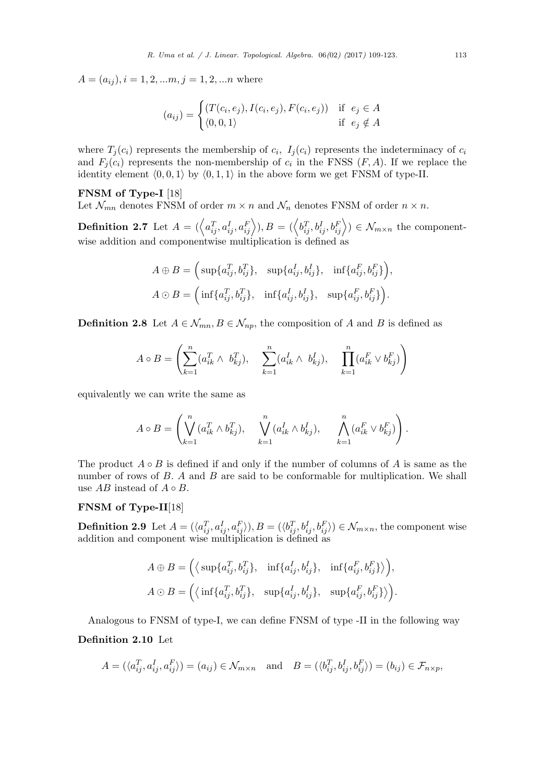$A = (a_{ij}), i = 1, 2, \ldots, m, j = 1, 2, \ldots, m$  where

$$
(a_{ij}) = \begin{cases} (T(c_i, e_j), I(c_i, e_j), F(c_i, e_j)) & \text{if } e_j \in A \\ \langle 0, 0, 1 \rangle & \text{if } e_j \notin A \end{cases}
$$

where  $T_j(c_i)$  represents the membership of  $c_i$ ,  $I_j(c_i)$  represents the indeterminacy of  $c_i$ and  $F_j(c_i)$  represents the non-membership of  $c_i$  in the FNSS  $(F, A)$ . If we replace the identity element  $\langle 0, 0, 1 \rangle$  by  $\langle 0, 1, 1 \rangle$  in the above form we get FNSM of type-II.

### **FNSM of Type-I** [18]

Let  $\mathcal{N}_{mn}$  denotes FNSM of order  $m \times n$  and  $\mathcal{N}_n$  denotes FNSM of order  $n \times n$ .

**Definition 2.7** Let  $A = (\langle a_{ij}^T, a_{ij}^I, a_{ij}^F \rangle), B = (\langle b_{ij}^T, b_{ij}^I, b_{ij}^F \rangle) \in \mathcal{N}_{m \times n}$  the componentwise addition and componentwise multiplication is defined as

$$
A \oplus B = \left( \sup \{a_{ij}^T, b_{ij}^T\}, \sup \{a_{ij}^I, b_{ij}^I\}, \inf \{a_{ij}^F, b_{ij}^F\} \right),
$$
  

$$
A \odot B = \left( \inf \{a_{ij}^T, b_{ij}^T\}, \inf \{a_{ij}^I, b_{ij}^I\}, \sup \{a_{ij}^F, b_{ij}^F\} \right).
$$

**Definition 2.8** Let  $A \in \mathcal{N}_{mn}, B \in \mathcal{N}_{np}$ , the composition of *A* and *B* is defined as

$$
A \circ B = \left( \sum_{k=1}^n (a_{ik}^T \wedge b_{kj}^T), \sum_{k=1}^n (a_{ik}^I \wedge b_{kj}^I), \sum_{k=1}^n (a_{ik}^F \vee b_{kj}^F) \right)
$$

equivalently we can write the same as

$$
A \circ B = \left( \bigvee_{k=1}^{n} (a_{ik}^T \wedge b_{kj}^T), \quad \bigvee_{k=1}^{n} (a_{ik}^I \wedge b_{kj}^I), \quad \bigwedge_{k=1}^{n} (a_{ik}^F \vee b_{kj}^F) \right).
$$

The product  $A \circ B$  is defined if and only if the number of columns of  $A$  is same as the number of rows of *B*. *A* and *B* are said to be conformable for multiplication. We shall use  $AB$  instead of  $A \circ B$ .

## **FNSM of Type-II**[18]

**Definition 2.9** Let  $A = (\langle a_{ij}^T, a_{ij}^I, a_{ij}^F \rangle), B = (\langle b_{ij}^T, b_{ij}^I, b_{ij}^F \rangle) \in \mathcal{N}_{m \times n}$ , the component wise addition and component wise multiplication is defined as

$$
A \oplus B = \Big(\langle \text{ sup}\{a_{ij}^T, b_{ij}^T\}, \text{ inf}\{a_{ij}^I, b_{ij}^I\}, \text{ inf}\{a_{ij}^F, b_{ij}^F\}\rangle\Big),
$$
  

$$
A \odot B = \Big(\langle \text{ inf}\{a_{ij}^T, b_{ij}^T\}, \text{ sup}\{a_{ij}^I, b_{ij}^I\}, \text{ sup}\{a_{ij}^F, b_{ij}^F\}\rangle\Big).
$$

Analogous to FNSM of type-I, we can define FNSM of type -II in the following way

### **Definition 2.10** Let

$$
A = (\langle a_{ij}^T, a_{ij}^I, a_{ij}^F \rangle) = (a_{ij}) \in \mathcal{N}_{m \times n} \quad \text{and} \quad B = (\langle b_{ij}^T, b_{ij}^I, b_{ij}^F \rangle) = (b_{ij}) \in \mathcal{F}_{n \times p},
$$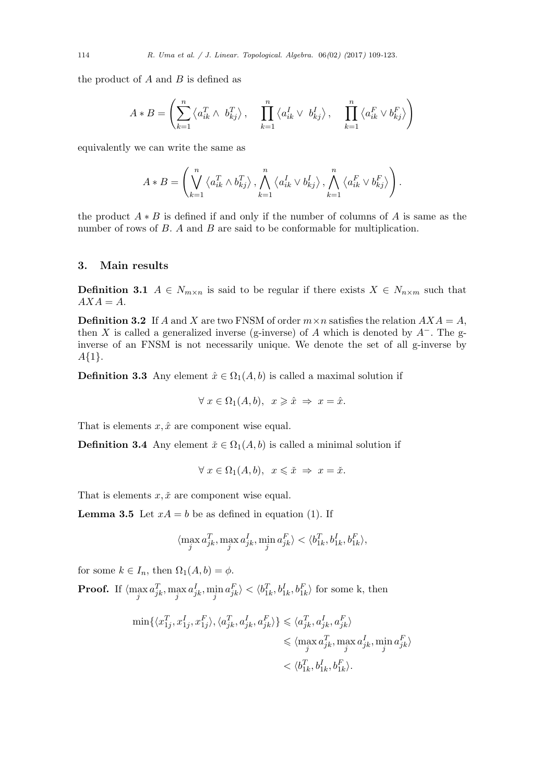the product of *A* and *B* is defined as

$$
A * B = \left(\sum_{k=1}^{n} \langle a_{ik}^T \wedge b_{kj}^T \rangle, \quad \prod_{k=1}^{n} \langle a_{ik}^I \vee b_{kj}^I \rangle, \quad \prod_{k=1}^{n} \langle a_{ik}^F \vee b_{kj}^F \rangle\right)
$$

equivalently we can write the same as

$$
A * B = \left( \bigvee_{k=1}^{n} \left\langle a_{ik}^T \wedge b_{kj}^T \right\rangle, \bigwedge_{k=1}^{n} \left\langle a_{ik}^I \vee b_{kj}^I \right\rangle, \bigwedge_{k=1}^{n} \left\langle a_{ik}^F \vee b_{kj}^F \right\rangle \right).
$$

the product *A ∗ B* is defined if and only if the number of columns of *A* is same as the number of rows of *B*. *A* and *B* are said to be conformable for multiplication.

### **3. Main results**

**Definition 3.1**  $A \in N_{m \times n}$  is said to be regular if there exists  $X \in N_{n \times m}$  such that  $AXA = A$ .

**Definition 3.2** If *A* and *X* are two FNSM of order  $m \times n$  satisfies the relation  $AXA = A$ , then *X* is called a generalized inverse (g-inverse) of *A* which is denoted by  $A^-$ . The ginverse of an FNSM is not necessarily unique. We denote the set of all g-inverse by *A{*1*}.*

**Definition 3.3** Any element  $\hat{x} \in \Omega_1(A, b)$  is called a maximal solution if

$$
\forall x \in \Omega_1(A, b), \ x \geq \hat{x} \Rightarrow x = \hat{x}.
$$

That is elements  $x, \hat{x}$  are component wise equal.

**Definition 3.4** Any element  $\check{x} \in \Omega_1(A, b)$  is called a minimal solution if

$$
\forall x \in \Omega_1(A, b), \ x \leq x \Rightarrow x = \check{x}.
$$

That is elements  $x, \check{x}$  are component wise equal.

**Lemma 3.5** Let  $xA = b$  be as defined in equation (1). If

$$
\langle \max_j a_{jk}^T, \max_j a_{jk}^I, \min_j a_{jk}^F\rangle < \langle b_{1k}^T, b_{1k}^I, b_{1k}^F\rangle,
$$

for some  $k \in I_n$ , then  $\Omega_1(A, b) = \phi$ .

**Proof.** If  $\langle \max_j a_{jk}^T, \max_j a_{jk}^I, \min_j a_{jk}^F \rangle < \langle b_{1k}^T, b_{1k}^I, b_{1k}^F \rangle$  for some k, then

$$
\begin{aligned} \min\{\langle x_{1j}^T,x_{1j}^I,x_{1j}^F\rangle,\langle a_{jk}^T,a_{jk}^I,a_{jk}^F\rangle\}\leqslant&\langle a_{jk}^T,a_{jk}^I,a_{jk}^F\rangle\\ &\leqslant \langle \max_j a_{jk}^T,\max_j a_{jk}^I,\min_j a_{jk}^F\rangle\\ &<\langle b_{1k}^T,b_{1k}^I,b_{1k}^F\rangle. \end{aligned}
$$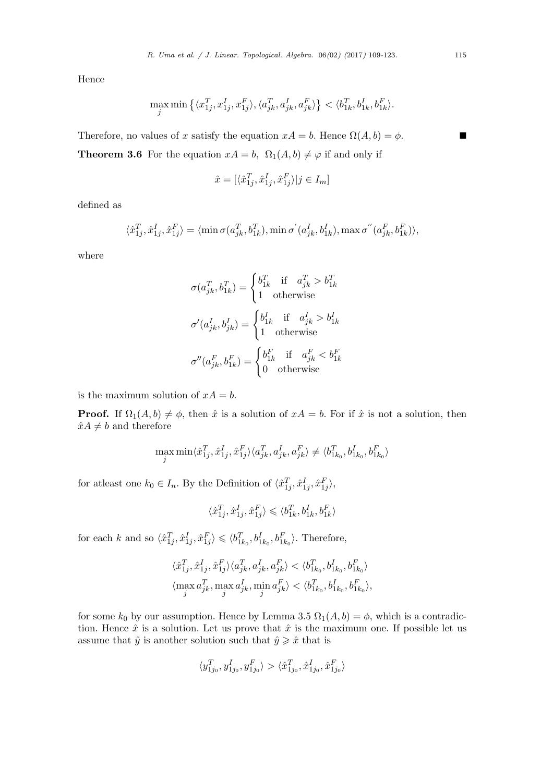Hence

$$
\max_{j} \min \left\{ \langle x_{1j}^T, x_{1j}^I, x_{1j}^F \rangle, \langle a_{jk}^T, a_{jk}^I, a_{jk}^F \rangle \right\} < \langle b_{1k}^T, b_{1k}^I, b_{1k}^F \rangle.
$$

Therefore, no values of *x* satisfy the equation  $xA = b$ . Hence  $\Omega(A, b) = \phi$ . **Theorem 3.6** For the equation  $xA = b$ ,  $\Omega_1(A, b) \neq \varphi$  if and only if

$$
\hat{x} = [\langle \hat{x}_{1j}^T, \hat{x}_{1j}^I, \hat{x}_{1j}^F \rangle | j \in I_m]
$$

defined as

$$
\langle \hat{x}_{1j}^T, \hat{x}_{1j}^I, \hat{x}_{1j}^F\rangle = \langle \min \sigma(a_{jk}^T, b_{1k}^T), \min \sigma^{'}(a_{jk}^I, b_{1k}^I), \max \sigma^{''}(a_{jk}^F, b_{1k}^F)\rangle,
$$

where

$$
\sigma(a_{jk}^T, b_{1k}^T) = \begin{cases} b_{1k}^T & \text{if} \quad a_{jk}^T > b_{1k}^T \\ 1 & \text{otherwise} \end{cases}
$$

$$
\sigma'(a_{jk}^I, b_{jk}^I) = \begin{cases} b_{1k}^I & \text{if} \quad a_{jk}^I > b_{1k}^I \\ 1 & \text{otherwise} \end{cases}
$$

$$
\sigma''(a_{jk}^F, b_{1k}^F) = \begin{cases} b_{1k}^F & \text{if} \quad a_{jk}^F < b_{1k}^F \\ 0 & \text{otherwise} \end{cases}
$$

is the maximum solution of  $xA = b$ .

**Proof.** If  $\Omega_1(A, b) \neq \emptyset$ , then  $\hat{x}$  is a solution of  $xA = b$ . For if  $\hat{x}$  is not a solution, then  $\hat{x}A \neq b$  and therefore

$$
\max_{j} \min \langle \hat{x}_{1j}^T, \hat{x}_{1j}^I, \hat{x}_{1j}^F \rangle \langle a_{jk}^T, a_{jk}^I, a_{jk}^F \rangle \neq \langle b_{1k_0}^T, b_{1k_0}^I, b_{1k_0}^F \rangle
$$

for at least one  $k_0 \in I_n$ . By the Definition of  $\langle \hat{x}_{1j}^T, \hat{x}_{1j}^I, \hat{x}_{1j}^F \rangle$ ,

$$
\langle \hat{x}_{1j}^T, \hat{x}_{1j}^I, \hat{x}_{1j}^F \rangle \leqslant \langle b_{1k}^T, b_{1k}^I, b_{1k}^F \rangle
$$

for each k and so  $\langle \hat{x}_{1j}^T, \hat{x}_{1j}^I, \hat{x}_{1j}^F \rangle \leq \langle b_{1k_0}^T, b_{1k_0}^I, b_{1k_0}^F \rangle$ . Therefore,

$$
\begin{aligned} &\langle \hat{x}_{1j}^T, \hat{x}_{1j}^I, \hat{x}_{1j}^F\rangle \langle a_{jk}^T, a_{jk}^I, a_{jk}^F\rangle < \langle b_{1k_0}^T, b_{1k_0}^I, b_{1k_0}^F\rangle\\ &\langle \max_j a_{jk}^T, \max_j a_{jk}^I, \min_j a_{jk}^F\rangle < \langle b_{1k_0}^T, b_{1k_0}^I, b_{1k_0}^F\rangle, \end{aligned}
$$

for some  $k_0$  by our assumption. Hence by Lemma 3.5  $\Omega_1(A, b) = \phi$ , which is a contradiction. Hence  $\hat{x}$  is a solution. Let us prove that  $\hat{x}$  is the maximum one. If possible let us assume that  $\hat{y}$  is another solution such that  $\hat{y} \geq \hat{x}$  that is

$$
\langle y_{1j_0}^T, y_{1j_0}^I, y_{1j_0}^F\rangle > \langle \hat{x}_{1j_0}^T, \hat{x}_{1j_0}^I, \hat{x}_{1j_0}^F\rangle
$$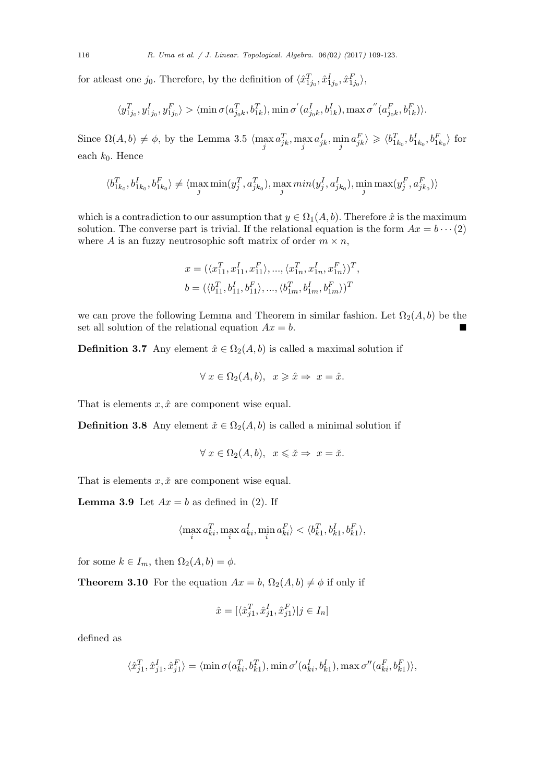for at least one *j*<sup>0</sup>. Therefore, by the definition of  $\langle \hat{x}_{1j_0}^T, \hat{x}_{1j_0}^I, \hat{x}_{1j_0}^F \rangle$ ,

$$
\langle y_{1j_0}^T, y_{1j_0}^I, y_{1j_0}^F\rangle > \langle \min \sigma(a_{j_0k}^T, b_{1k}^T), \min \sigma^{'}(a_{j_0k}^I, b_{1k}^I), \max \sigma^{''}(a_{j_0k}^F, b_{1k}^F)\rangle.
$$

Since  $\Omega(A, b) \neq \phi$ , by the Lemma 3.5  $\langle \max_j a_{jk}^T, \max_j a_{jk}^I, \min_j a_{jk}^F \rangle \geq \langle b_{1k_0}^T, b_{1k_0}^I, b_{1k_0}^F \rangle$  for each *k*0*.* Hence

$$
\langle b_{1k_{0}}^{T},b_{1k_{0}}^{I},b_{1k_{0}}^{F}\rangle\neq\langle\max_{j}\min(y_{j}^{T},a_{jk_{0}}^{T}),\max_{j}\min(y_{j}^{I},a_{jk_{0}}^{I}),\min_{j}\max(y_{j}^{F},a_{jk_{0}}^{F})\rangle
$$

which is a contradiction to our assumption that  $y \in \Omega_1(A, b)$ . Therefore  $\hat{x}$  is the maximum solution. The converse part is trivial. If the relational equation is the form  $Ax = b \cdots (2)$ where *A* is an fuzzy neutrosophic soft matrix of order  $m \times n$ ,

$$
\begin{split} &x = (\langle x_{11}^T, x_{11}^I, x_{11}^F \rangle, ..., \langle x_{1n}^T, x_{1n}^I, x_{1n}^F \rangle)^T, \\ &b = (\langle b_{11}^T, b_{11}^I, b_{11}^F \rangle, ..., \langle b_{1m}^T, b_{1m}^I, b_{1m}^F \rangle)^T \end{split}
$$

we can prove the following Lemma and Theorem in similar fashion. Let  $\Omega_2(A, b)$  be the set all solution of the relational equation  $Ax = b$ .

**Definition 3.7** Any element  $\hat{x} \in \Omega_2(A, b)$  is called a maximal solution if

$$
\forall x \in \Omega_2(A, b), \ x \geq \hat{x} \Rightarrow x = \hat{x}.
$$

That is elements  $x, \hat{x}$  are component wise equal.

**Definition 3.8** Any element  $\check{x} \in \Omega_2(A, b)$  is called a minimal solution if

$$
\forall x \in \Omega_2(A, b), \quad x \leq \check{x} \Rightarrow x = \check{x}.
$$

That is elements  $x, \tilde{x}$  are component wise equal.

**Lemma 3.9** Let  $Ax = b$  as defined in (2). If

$$
\langle \max_i a_{ki}^T, \max_i a_{ki}^I, \min_i a_{ki}^F \rangle < \langle b_{k1}^T, b_{k1}^I, b_{k1}^F \rangle,
$$

for some  $k \in I_m$ , then  $\Omega_2(A, b) = \phi$ .

**Theorem 3.10** For the equation  $Ax = b$ ,  $\Omega_2(A, b) \neq \phi$  if only if

$$
\hat{x} = [\langle \hat{x}_{j1}^T, \hat{x}_{j1}^I, \hat{x}_{j1}^F \rangle | j \in I_n]
$$

defined as

$$
\langle \hat{x}_{j1}^T, \hat{x}_{j1}^I, \hat{x}_{j1}^F\rangle = \langle \min \sigma(a_{ki}^T, b_{k1}^T), \min \sigma'(a_{ki}^I, b_{k1}^I), \max \sigma''(a_{ki}^F, b_{k1}^F)\rangle,
$$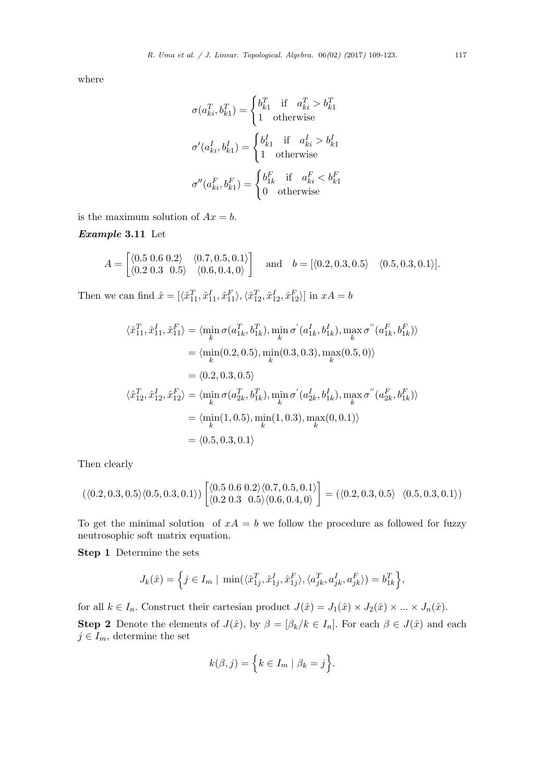where

$$
\sigma(a_{ki}^T, b_{k1}^T) = \begin{cases} b_{k1}^T & \text{if } a_{ki}^T > b_{k1}^T \\ 1 & \text{otherwise} \end{cases}
$$

$$
\sigma'(a_{ki}^I, b_{k1}^I) = \begin{cases} b_{k1}^I & \text{if } a_{ki}^I > b_{k1}^I \\ 1 & \text{otherwise} \end{cases}
$$

$$
\sigma''(a_{ki}^F, b_{k1}^F) = \begin{cases} b_{1k}^F & \text{if } a_{ki}^F < b_{k1}^F \\ 0 & \text{otherwise} \end{cases}
$$

is the maximum solution of  $Ax = b$ .

*Example* **3.11** Let

$$
A = \begin{bmatrix} \langle 0.5 \ 0.6 \ 0.2 \rangle & \langle 0.7, 0.5, 0.1 \rangle \\ \langle 0.2 \ 0.3 \ 0.5 \rangle & \langle 0.6, 0.4, 0 \rangle \end{bmatrix} \text{ and } b = [\langle 0.2, 0.3, 0.5 \rangle \quad \langle 0.5, 0.3, 0.1 \rangle].
$$

Then we can find  $\hat{x} = [\langle \hat{x}_{11}^T, \hat{x}_{11}^I, \hat{x}_{11}^F \rangle, \langle \hat{x}_{12}^T, \hat{x}_{12}^I, \hat{x}_{12}^F \rangle]$  in  $xA = b$ 

$$
\langle \hat{x}_{11}^T, \hat{x}_{11}^I, \hat{x}_{11}^F \rangle = \langle \min_k \sigma(a_{1k}^T, b_{1k}^T), \min_k \sigma'(a_{1k}^I, b_{1k}^I), \max_k \sigma''(a_{1k}^F, b_{1k}^F) \rangle
$$
  
\n
$$
= \langle \min_k(0.2, 0.5), \min_k(0.3, 0.3), \max_k(0.5, 0) \rangle
$$
  
\n
$$
= \langle 0.2, 0.3, 0.5 \rangle
$$
  
\n
$$
\langle \hat{x}_{12}^T, \hat{x}_{12}^I, \hat{x}_{12}^F \rangle = \langle \min_k \sigma(a_{2k}^T, b_{1k}^T), \min_k \sigma'(a_{2k}^I, b_{1k}^I), \max_k \sigma''(a_{2k}^F, b_{1k}^F) \rangle
$$
  
\n
$$
= \langle \min_k(1, 0.5), \min_k(1, 0.3), \max_k(0, 0.1) \rangle
$$
  
\n
$$
= \langle 0.5, 0.3, 0.1 \rangle
$$

Then clearly

$$
(\langle 0.2, 0.3, 0.5 \rangle \langle 0.5, 0.3, 0.1 \rangle) \begin{bmatrix} \langle 0.5 \ 0.6 \ 0.2 \rangle \langle 0.7, 0.5, 0.1 \rangle \\ \langle 0.2 \ 0.3 \ 0.5 \rangle \langle 0.6, 0.4, 0 \rangle \end{bmatrix} = (\langle 0.2, 0.3, 0.5 \rangle \langle 0.5, 0.3, 0.1 \rangle)
$$

To get the minimal solution of  $xA = b$  we follow the procedure as followed for fuzzy neutrosophic soft matrix equation.

**Step 1** Determine the sets

$$
J_k(\hat{x}) = \left\{ j \in I_m \mid \min(\langle \hat{x}_{1j}^T, \hat{x}_{1j}^I, \hat{x}_{1j}^F \rangle, \langle a_{jk}^T, a_{jk}^I, a_{jk}^F \rangle) = b_{1k}^T \right\},\
$$

for all  $k \in I_n$ . Construct their cartesian product  $J(\hat{x}) = J_1(\hat{x}) \times J_2(\hat{x}) \times ... \times J_n(\hat{x})$ .

**Step 2** Denote the elements of  $J(\hat{x})$ , by  $\beta = [\beta_k/k \in I_n]$ . For each  $\beta \in J(\hat{x})$  and each  $j \in I_m$ , determine the set

$$
k(\beta, j) = \Big\{ k \in I_m \mid \beta_k = j \Big\}.
$$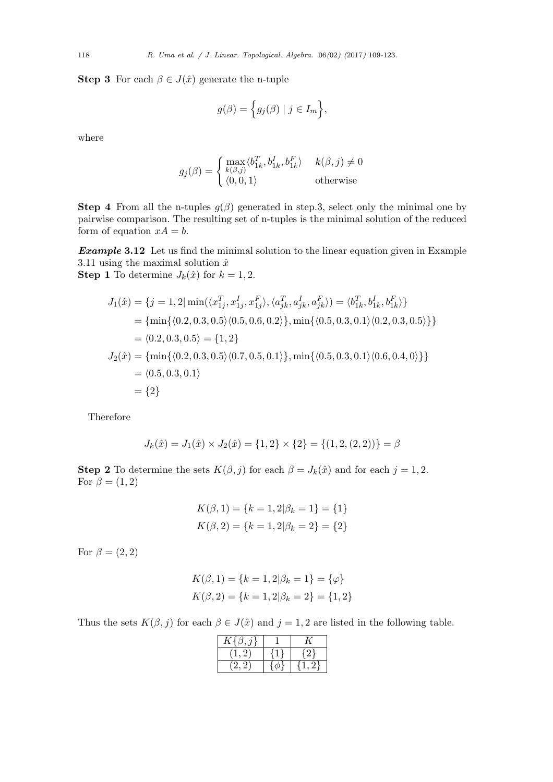**Step 3** For each  $\beta \in J(\hat{x})$  generate the n-tuple

$$
g(\beta) = \Big\{ g_j(\beta) \mid j \in I_m \Big\},\
$$

where

$$
g_j(\beta) = \begin{cases} \max_{k(\beta,j)} \langle b_{1k}^T, b_{1k}^I, b_{1k}^F \rangle & k(\beta, j) \neq 0\\ \langle 0, 0, 1 \rangle & \text{otherwise} \end{cases}
$$

**Step 4** From all the n-tuples  $g(\beta)$  generated in step.3, select only the minimal one by pairwise comparison. The resulting set of n-tuples is the minimal solution of the reduced form of equation  $xA = b$ .

*Example* **3.12** Let us find the minimal solution to the linear equation given in Example 3.11 using the maximal solution  $\hat{x}$ **Step 1** To determine  $J_k(\hat{x})$  for  $k = 1, 2$ .

$$
J_1(\hat{x}) = \{j = 1, 2 | \min(\langle x_{1j}^T, x_{1j}^I, x_{1j}^F \rangle, \langle a_{jk}^T, a_{jk}^I, a_{jk}^F \rangle) = \langle b_{1k}^T, b_{1k}^I, b_{1k}^F \rangle\}
$$
  
\n
$$
= \{\min\{\langle 0.2, 0.3, 0.5 \rangle \langle 0.5, 0.6, 0.2 \rangle\}, \min\{\langle 0.5, 0.3, 0.1 \rangle \langle 0.2, 0.3, 0.5 \rangle\}\}
$$
  
\n
$$
= \langle 0.2, 0.3, 0.5 \rangle = \{1, 2\}
$$
  
\n
$$
J_2(\hat{x}) = \{\min\{\langle 0.2, 0.3, 0.5 \rangle \langle 0.7, 0.5, 0.1 \rangle\}, \min\{\langle 0.5, 0.3, 0.1 \rangle \langle 0.6, 0.4, 0 \rangle\}\}
$$
  
\n
$$
= \langle 0.5, 0.3, 0.1 \rangle
$$
  
\n
$$
= \{2\}
$$

Therefore

$$
J_k(\hat{x}) = J_1(\hat{x}) \times J_2(\hat{x}) = \{1, 2\} \times \{2\} = \{(1, 2, (2, 2))\} = \beta
$$

**Step 2** To determine the sets  $K(\beta, j)$  for each  $\beta = J_k(\hat{x})$  and for each  $j = 1, 2$ . For  $\beta = (1, 2)$ 

$$
K(\beta, 1) = \{k = 1, 2|\beta_k = 1\} = \{1\}
$$
  

$$
K(\beta, 2) = \{k = 1, 2|\beta_k = 2\} = \{2\}
$$

For  $\beta = (2, 2)$ 

$$
K(\beta, 1) = \{k = 1, 2|\beta_k = 1\} = \{\varphi\}
$$
  

$$
K(\beta, 2) = \{k = 1, 2|\beta_k = 2\} = \{1, 2\}
$$

Thus the sets  $K(\beta, j)$  for each  $\beta \in J(\hat{x})$  and  $j = 1, 2$  are listed in the following table.

| $K^{\mathsf{J}}$ |    |
|------------------|----|
|                  | ٠. |
|                  |    |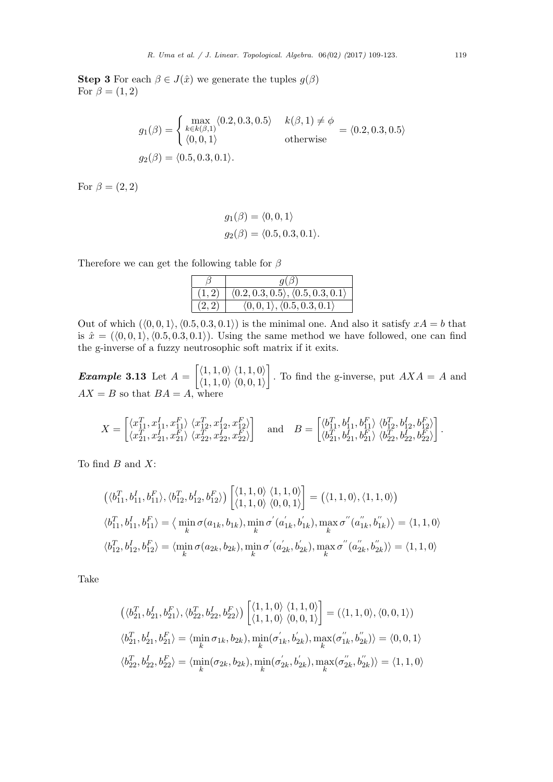**Step 3** For each  $\beta \in J(\hat{x})$  we generate the tuples  $g(\beta)$ For  $\beta = (1, 2)$ 

$$
g_1(\beta) = \begin{cases} \max_{k \in k(\beta,1)} \langle 0.2, 0.3, 0.5 \rangle & k(\beta,1) \neq \phi \\ \langle 0, 0, 1 \rangle & \text{otherwise} \end{cases} = \langle 0.2, 0.3, 0.5 \rangle
$$
  

$$
g_2(\beta) = \langle 0.5, 0.3, 0.1 \rangle.
$$

For  $\beta = (2, 2)$ 

$$
g_1(\beta) = \langle 0, 0, 1 \rangle
$$
  

$$
g_2(\beta) = \langle 0.5, 0.3, 0.1 \rangle.
$$

Therefore we can get the following table for *β*

|       | $q(\beta)$                                           |
|-------|------------------------------------------------------|
| (1,2) | (0.2, 0.3, 0.5), (0.5, 0.3, 0.1)                     |
| (2,2) | $\langle 0,0,1 \rangle, \langle 0.5,0.3,0.1 \rangle$ |

Out of which  $($  $\langle 0, 0, 1 \rangle$ ,  $\langle 0.5, 0.3, 0.1 \rangle$  is the minimal one. And also it satisfy  $xA = b$  that is  $\hat{x} = (\langle 0, 0, 1 \rangle, \langle 0.5, 0.3, 0.1 \rangle)$ . Using the same method we have followed, one can find the g-inverse of a fuzzy neutrosophic soft matrix if it exits.

*Example* **3.13** Let *A* =  $\langle 1, 1, 0 \rangle$   $\langle 1, 1, 0 \rangle$ *⟨*1*,* 1*,* 0*⟩ ⟨*0*,* 0*,* 1*⟩* ] *.* To find the g-inverse, put *AXA* = *A* and  $AX = B$  so that  $BA = A$ , where

$$
X = \begin{bmatrix} \langle x_{11}^T, x_{11}^I, x_{11}^F \rangle & \langle x_{12}^T, x_{12}^I, x_{12}^F \rangle \\ \langle x_{21}^T, x_{21}^I, x_{21}^F \rangle & \langle x_{22}^T, x_{22}^I, x_{22}^F \rangle \end{bmatrix} \text{ and } B = \begin{bmatrix} \langle b_{11}^T, b_{11}^I, b_{11}^F \rangle & \langle b_{12}^T, b_{12}^I, b_{12}^F \rangle \\ \langle b_{21}^T, b_{21}^I, b_{21}^F \rangle & \langle b_{22}^T, b_{22}^I, b_{22}^F \rangle \end{bmatrix}.
$$

To find *B* and *X*:

$$
\begin{aligned}\n\left(\langle b_{11}^T, b_{11}^I, b_{11}^F \rangle, \langle b_{12}^T, b_{12}^I, b_{12}^F \rangle \right) \begin{bmatrix} \langle 1, 1, 0 \rangle & \langle 1, 1, 0 \rangle \\ \langle 1, 1, 0 \rangle & \langle 0, 0, 1 \rangle \end{bmatrix} &= \left( \langle 1, 1, 0 \rangle, \langle 1, 1, 0 \rangle \right) \\
\langle b_{11}^T, b_{11}^I, b_{11}^F \rangle &= \langle \min_k \sigma(a_{1k}, b_{1k}), \min_k \sigma'(a_{1k}', b_{1k}'), \max_k \sigma''(a_{1k}', b_{1k}') \rangle = \langle 1, 1, 0 \rangle \\
\langle b_{12}^T, b_{12}^I, b_{12}^F \rangle &= \langle \min_k \sigma(a_{2k}, b_{2k}), \min_k \sigma'(a_{2k}', b_{2k}'), \max_k \sigma''(a_{2k}', b_{2k}') \rangle = \langle 1, 1, 0 \rangle\n\end{aligned}
$$

Take

$$
\begin{aligned} &\left(\langle b_{21}^T,b_{21}^I,b_{21}^F \rangle,\langle b_{22}^T,b_{22}^I,b_{22}^F \rangle\right)\begin{bmatrix} \langle 1,1,0 \rangle \ \langle 1,1,0 \rangle \ \langle 0,0,1 \rangle \end{bmatrix} = (\langle 1,1,0 \rangle,\langle 0,0,1 \rangle)\\ &\langle b_{21}^T,b_{21}^I,b_{21}^F \rangle = \langle \min_k \sigma_{1k},b_{2k}), \min_k (\sigma^{'}_{1k},b^{'}_{2k}), \max_k (\sigma^{''}_{1k},b^{''}_{2k}) \rangle = \langle 0,0,1 \rangle\\ &\langle b_{22}^T,b_{22}^I,b_{22}^F \rangle = \langle \min_k (\sigma_{2k},b_{2k}), \min_k (\sigma^{'}_{2k},b^{'}_{2k}), \max_k (\sigma^{''}_{2k},b^{''}_{2k}) \rangle = \langle 1,1,0 \rangle \end{aligned}
$$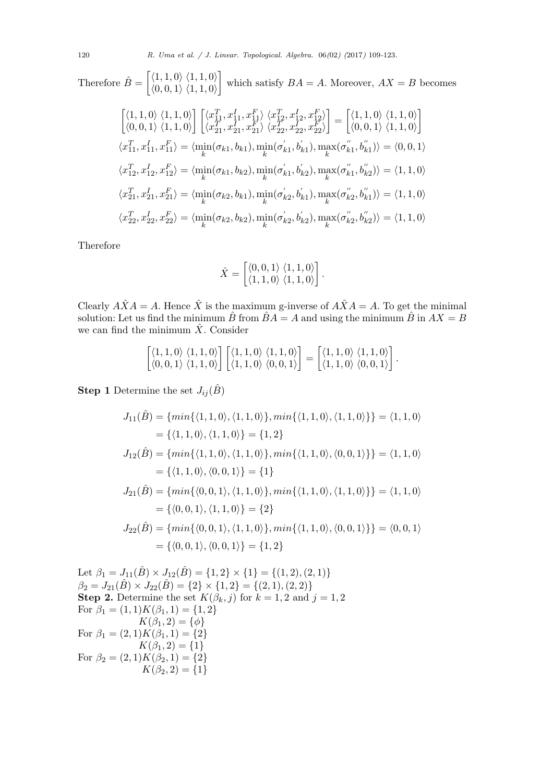Therefore  $\hat{B} = \begin{bmatrix} \langle 1, 1, 0 \rangle & \langle 1, 1, 0 \rangle \\ \langle 0, 0, 1 \rangle & \langle 1, 1, 0 \rangle \end{bmatrix}$ *⟨*0*,* 0*,* 1*⟩ ⟨*1*,* 1*,* 0*⟩* ] which satisfy  $BA = A$ . Moreover,  $AX = B$  becomes

$$
\begin{aligned}\n\begin{bmatrix}\n\langle 1,1,0 \rangle & \langle 1,1,0 \rangle \\
\langle 0,0,1 \rangle & \langle 1,1,0 \rangle\n\end{bmatrix}\n\begin{bmatrix}\n\langle x_{11}^T, x_{11}^I, x_{11}^F \rangle & \langle x_{12}^T, x_{12}^I, x_{12}^F \rangle \\
\langle x_{21}^T, x_{21}^I, x_{21}^F \rangle & \langle x_{22}^T, x_{22}^I, x_{22}^F \rangle\n\end{bmatrix} = \n\begin{bmatrix}\n\langle 1,1,0 \rangle & \langle 1,1,0 \rangle \\
\langle 0,0,1 \rangle & \langle 1,1,0 \rangle\n\end{bmatrix} \\
\langle x_{11}^T, x_{11}^I, x_{11}^F \rangle & = \langle \min_k(\sigma_{k1}, b_{k1}), \min_k(\sigma_{k1}^i, b_{k1}^i), \max_k(\sigma_{k1}^u, b_{k1}^i) \rangle = \langle 0,0,1 \rangle \\
\langle x_{12}^T, x_{12}^I, x_{12}^F \rangle & = \langle \min_k(\sigma_{k1}, b_{k2}), \min_k(\sigma_{k1}^i, b_{k2}^i), \max_k(\sigma_{k1}^u, b_{k2}^i) \rangle = \langle 1,1,0 \rangle \\
\langle x_{21}^T, x_{21}^I, x_{21}^F \rangle & = \langle \min_k(\sigma_{k2}, b_{k1}), \min_k(\sigma_{k2}^i, b_{k1}^i), \max_k(\sigma_{k2}^u, b_{k1}^i) \rangle = \langle 1,1,0 \rangle \\
\langle x_{22}^T, x_{22}^I, x_{22}^F \rangle & = \langle \min_k(\sigma_{k2}, b_{k2}), \min_k(\sigma_{k2}^i, b_{k2}^i), \max_k(\sigma_{k2}^i, b_{k2}^i) \rangle = \langle 1,1,0 \rangle\n\end{aligned}
$$

Therefore

$$
\hat{X} = \begin{bmatrix} \langle 0, 0, 1 \rangle & \langle 1, 1, 0 \rangle \\ \langle 1, 1, 0 \rangle & \langle 1, 1, 0 \rangle \end{bmatrix}.
$$

Clearly  $\hat{A} \times \hat{A} = A$ . Hence  $\hat{X}$  is the maximum g-inverse of  $\hat{A} \times \hat{A} = A$ . To get the minimal solution: Let us find the minimum  $\hat{B}$  from  $\hat{B}A = A$  and using the minimum  $\hat{B}$  in  $AX = B$ we can find the minimum  $\hat{X}$ . Consider

$$
\begin{bmatrix} \langle 1,1,0\rangle \; \langle 1,1,0\rangle \\ \langle 0,0,1\rangle \; \langle 1,1,0\rangle \end{bmatrix} \begin{bmatrix} \langle 1,1,0\rangle \; \langle 1,1,0\rangle \\ \langle 1,1,0\rangle \; \langle 0,0,1\rangle \end{bmatrix} = \begin{bmatrix} \langle 1,1,0\rangle \; \langle 1,1,0\rangle \\ \langle 1,1,0\rangle \; \langle 0,0,1\rangle \end{bmatrix}.
$$

**Step 1** Determine the set  $J_{ij}(\hat{B})$ 

$$
J_{11}(\hat{B}) = \{min\{\langle 1, 1, 0 \rangle, \langle 1, 1, 0 \rangle\}, min\{\langle 1, 1, 0 \rangle, \langle 1, 1, 0 \rangle\}\} = \langle 1, 1, 0 \rangle
$$
  
\n
$$
= \{\langle 1, 1, 0 \rangle, \langle 1, 1, 0 \rangle\} = \{1, 2\}
$$
  
\n
$$
J_{12}(\hat{B}) = \{min\{\langle 1, 1, 0 \rangle, \langle 1, 1, 0 \rangle\}, min\{\langle 1, 1, 0 \rangle, \langle 0, 0, 1 \rangle\}\} = \langle 1, 1, 0 \rangle
$$
  
\n
$$
= \{\langle 1, 1, 0 \rangle, \langle 0, 0, 1 \rangle\} = \{1\}
$$
  
\n
$$
J_{21}(\hat{B}) = \{min\{\langle 0, 0, 1 \rangle, \langle 1, 1, 0 \rangle\}, min\{\langle 1, 1, 0 \rangle, \langle 1, 1, 0 \rangle\}\} = \langle 1, 1, 0 \rangle
$$
  
\n
$$
= \{\langle 0, 0, 1 \rangle, \langle 1, 1, 0 \rangle\} = \{2\}
$$
  
\n
$$
J_{22}(\hat{B}) = \{min\{\langle 0, 0, 1 \rangle, \langle 1, 1, 0 \rangle\}, min\{\langle 1, 1, 0 \rangle, \langle 0, 0, 1 \rangle\}\} = \langle 0, 0, 1 \rangle
$$
  
\n
$$
= \{\langle 0, 0, 1 \rangle, \langle 0, 0, 1 \rangle\} = \{1, 2\}
$$

Let  $\beta_1 = J_{11}(\hat{B}) \times J_{12}(\hat{B}) = \{1, 2\} \times \{1\} = \{(1, 2), (2, 1)\}$  $\beta_2 = J_{21}(\hat{B}) \times J_{22}(\hat{B}) = \{2\} \times \{1, 2\} = \{(2, 1), (2, 2)\}$ **Step 2.** Determine the set  $K(\hat{\beta}_k, j)$  for  $k = 1, 2$  and  $j = 1, 2$ For  $\beta_1 = (1,1)K(\beta_1, 1) = \{1, 2\}$  $K(\beta_1, 2) = {\phi}$  $For \ \beta_1 = (2, 1)K(\beta_1, 1) = \{2\}$  $K(\beta_1, 2) = \{1\}$  $For \beta_2 = (2, 1)K(\beta_2, 1) = \{2\}$  $K(\beta_2, 2) = \{1\}$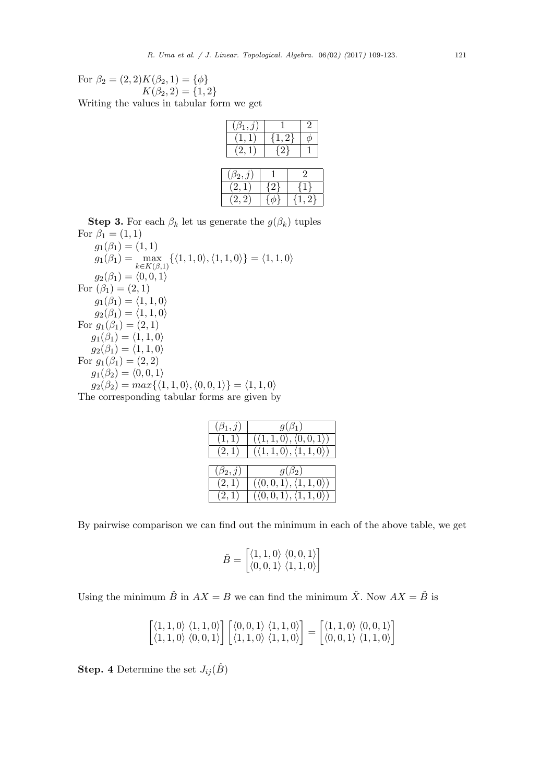For  $\beta_2 = (2, 2)K(\beta_2, 1) = \{\phi\}$  $K(\beta_2, 2) = \{1, 2\}$ 

Writing the values in tabular form we get

| $(\beta_1, \jmath)$ |            |               |  |
|---------------------|------------|---------------|--|
| (1,1)               | $\{1,2\}$  |               |  |
| (2,1)               | $\sqrt{2}$ |               |  |
|                     |            |               |  |
| $(\beta_2,j)$       |            | $\mathcal{D}$ |  |
| (2,1)               | (2         | l 1           |  |
| $2.2^{\circ}$       |            | 2!            |  |

**Step 3.** For each  $\beta_k$  let us generate the  $g(\beta_k)$  tuples For  $\beta_1 = (1, 1)$  $g_1(\beta_1) = (1, 1)$  $g_1(\beta_1) = \max_{\mathbf{X} \in \mathcal{L}(\mathcal{E})}$ *k∈K*(*β,*1)  $\{\langle 1, 1, 0 \rangle, \langle 1, 1, 0 \rangle\} = \langle 1, 1, 0 \rangle$  $g_2(\beta_1) = \langle 0, 0, 1 \rangle$ For  $(\beta_1) = (2, 1)$  $g_1(\beta_1) = \langle 1, 1, 0 \rangle$  $g_2(\beta_1) = \langle 1, 1, 0 \rangle$ For  $g_1(\beta_1) = (2, 1)$  $g_1(\beta_1) = \langle 1, 1, 0 \rangle$  $g_2(\beta_1) = \langle 1, 1, 0 \rangle$ For  $g_1(\beta_1) = (2, 2)$  $g_1(\beta_2) = \langle 0, 0, 1 \rangle$ 

 $g_2(\beta_2) = max\{\langle 1, 1, 0 \rangle, \langle 0, 0, 1 \rangle\} = \langle 1, 1, 0 \rangle$ The corresponding tabular forms are given by

| $(\beta_1, j)$ | $g(\beta_1)$                                         |
|----------------|------------------------------------------------------|
| (1,1)          | $(\langle 1, 1, 0 \rangle, \langle 0, 0, 1 \rangle)$ |
| (2,1)          | $(\langle 1,1,0\rangle, \langle 1,1,0\rangle)$       |
|                |                                                      |
|                |                                                      |
| $(\beta_2, j)$ | $g(\beta_2)$                                         |
| (2,1)          | $(\langle 0,0,1 \rangle, \langle 1,1,0 \rangle)$     |

By pairwise comparison we can find out the minimum in each of the above table, we get

$$
\check{B} = \begin{bmatrix} \langle 1, 1, 0 \rangle & \langle 0, 0, 1 \rangle \\ \langle 0, 0, 1 \rangle & \langle 1, 1, 0 \rangle \end{bmatrix}
$$

Using the minimum  $\check{B}$  in  $AX = B$  we can find the minimum  $\check{X}$ . Now  $AX = \check{B}$  is

$$
\begin{bmatrix} \langle 1,1,0\rangle\ \langle 1,1,0\rangle \\ \langle 1,1,0\rangle\ \langle 0,0,1\rangle \end{bmatrix} \begin{bmatrix} \langle 0,0,1\rangle\ \langle 1,1,0\rangle \\ \langle 1,1,0\rangle\ \langle 1,1,0\rangle \end{bmatrix} = \begin{bmatrix} \langle 1,1,0\rangle\ \langle 0,0,1\rangle \\ \langle 0,0,1\rangle\ \langle 1,1,0\rangle \end{bmatrix}
$$

**Step.** 4 Determine the set  $J_{ij}(\hat{B})$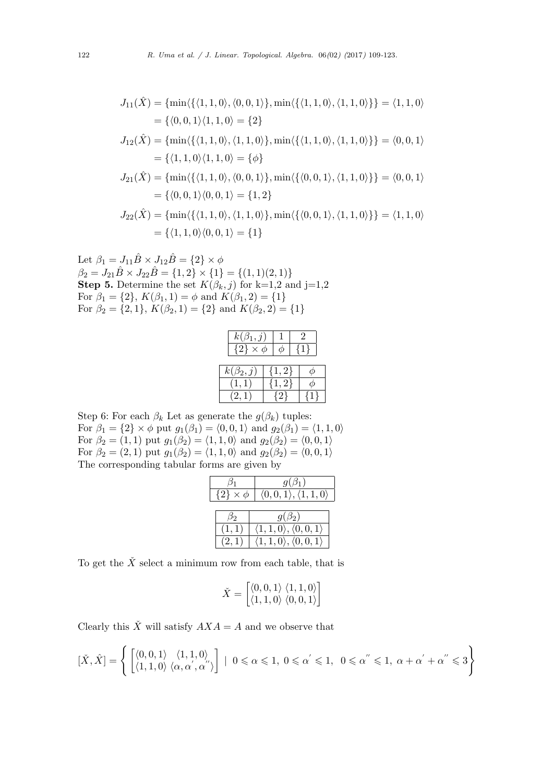$$
J_{11}(\hat{X}) = \{\min\{\{(1,1,0), (0,0,1)\}, \min\{\{(1,1,0), (1,1,0)\}\} = \langle 1, 1, 0 \rangle\}
$$
  
\n
$$
= \{\langle 0, 0, 1 \rangle \langle 1, 1, 0 \rangle = \{2\}
$$
  
\n
$$
J_{12}(\hat{X}) = \{\min\{\{(1,1,0), (1,1,0)\}, \min\{\{(1,1,0), (1,1,0)\}\} = \langle 0, 0, 1 \rangle\}
$$
  
\n
$$
= \{\langle 1, 1, 0 \rangle \langle 1, 1, 0 \rangle = \{\phi\}
$$
  
\n
$$
J_{21}(\hat{X}) = \{\min\{\{(1,1,0), (0,0,1)\}, \min\{\{(0,0,1), (1,1,0)\}\} = \langle 0, 0, 1 \rangle\}
$$
  
\n
$$
= \{\langle 0, 0, 1 \rangle \langle 0, 0, 1 \rangle = \{1, 2\}
$$
  
\n
$$
J_{22}(\hat{X}) = \{\min\{\{(1,1,0), (1,1,0)\}, \min\{\{(0,0,1), (1,1,0)\}\} = \langle 1, 1, 0 \rangle\}
$$
  
\n
$$
= \{\langle 1, 1, 0 \rangle \langle 0, 0, 1 \rangle = \{1\}
$$

Let 
$$
\beta_1 = J_{11}\hat{B} \times J_{12}\hat{B} = \{2\} \times \phi
$$
  
\n $\beta_2 = J_{21}\hat{B} \times J_{22}\hat{B} = \{1,2\} \times \{1\} = \{(1,1)(2,1)\}$   
\n**Step 5.** Determine the set  $K(\beta_k, j)$  for k=1,2 and j=1,2  
\nFor  $\beta_1 = \{2\}, K(\beta_1, 1) = \phi$  and  $K(\beta_1, 2) = \{1\}$   
\nFor  $\beta_2 = \{2,1\}, K(\beta_2, 1) = \{2\}$  and  $K(\beta_2, 2) = \{1\}$ 

| $k(\beta_1,j)$      |           |  |  |
|---------------------|-----------|--|--|
| $\{2\} \times \phi$ |           |  |  |
| $k(\beta_2,j)$      | $\{1,2\}$ |  |  |
|                     |           |  |  |
| $2.1^{\circ}$       |           |  |  |

Step 6: For each  $\beta_k$  Let as generate the  $g(\beta_k)$  tuples: For  $\beta_1 = \{2\} \times \phi$  put  $g_1(\beta_1) = \langle 0, 0, 1 \rangle$  and  $g_2(\beta_1) = \langle 1, 1, 0 \rangle$ For  $\beta_2 = (1, 1)$  put  $g_1(\beta_2) = \langle 1, 1, 0 \rangle$  and  $g_2(\beta_2) = \langle 0, 0, 1 \rangle$ For  $\beta_2 = (2, 1)$  put  $g_1(\beta_2) = (1, 1, 0)$  and  $g_2(\beta_2) = (0, 0, 1)$ The corresponding tabular forms are given by

|                     | $g(\beta_1)$                                       |  |
|---------------------|----------------------------------------------------|--|
| $\{2\} \times \phi$ | $\langle 0,0,1 \rangle, \langle 1,1,0 \rangle$     |  |
|                     |                                                    |  |
|                     | $g(\beta_2)$                                       |  |
|                     | $\langle 1, 1, 0 \rangle, \langle 0, 0, 1 \rangle$ |  |
|                     | $\langle 1,1,0\rangle, \langle 0,0,1\rangle$       |  |

To get the  $\check{X}$  select a minimum row from each table, that is

$$
\check{X} = \begin{bmatrix} \langle 0, 0, 1 \rangle & \langle 1, 1, 0 \rangle \\ \langle 1, 1, 0 \rangle & \langle 0, 0, 1 \rangle \end{bmatrix}
$$

Clearly this  $\check{X}$  will satisfy  $AXA = A$  and we observe that

$$
[\check{X},\hat{X}]=\left\{\begin{bmatrix} \langle 0,0,1\rangle & \langle 1,1,0\rangle \\ \langle 1,1,0\rangle & \langle \alpha,\alpha^{'},\alpha^{''}\rangle \end{bmatrix}\big|\ \, 0\leqslant\alpha\leqslant1,\,\,0\leqslant\alpha^{'}\leqslant1,\,\,0\leqslant\alpha^{''}\leqslant1,\,\,\alpha+\alpha^{'}+\alpha^{''}\leqslant3\right\}
$$